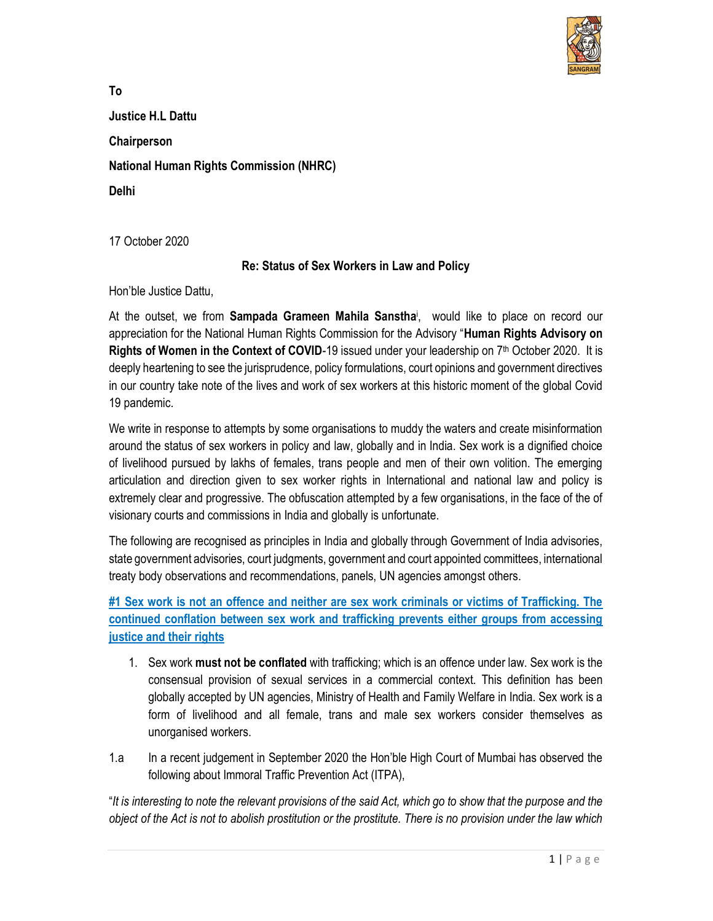

To Justice H.L Dattu **Chairperson** National Human Rights Commission (NHRC) Delhi

17 October 2020

### Re: Status of Sex Workers in Law and Policy

Hon'ble Justice Dattu,

At the outset, we from **Sampada Grameen Mahila Sanstha**i, would like to place on record our appreciation for the National Human Rights Commission for the Advisory "Human Rights Advisory on Rights of Women in the Context of COVID-19 issued under your leadership on  $7<sup>th</sup>$  October 2020. It is deeply heartening to see the jurisprudence, policy formulations, court opinions and government directives in our country take note of the lives and work of sex workers at this historic moment of the global Covid 19 pandemic.

We write in response to attempts by some organisations to muddy the waters and create misinformation around the status of sex workers in policy and law, globally and in India. Sex work is a dignified choice of livelihood pursued by lakhs of females, trans people and men of their own volition. The emerging articulation and direction given to sex worker rights in International and national law and policy is extremely clear and progressive. The obfuscation attempted by a few organisations, in the face of the of visionary courts and commissions in India and globally is unfortunate.

The following are recognised as principles in India and globally through Government of India advisories, state government advisories, court judgments, government and court appointed committees, international treaty body observations and recommendations, panels, UN agencies amongst others.

#1 Sex work is not an offence and neither are sex work criminals or victims of Trafficking. The continued conflation between sex work and trafficking prevents either groups from accessing justice and their rights

- 1. Sex work must not be conflated with trafficking; which is an offence under law. Sex work is the consensual provision of sexual services in a commercial context. This definition has been globally accepted by UN agencies, Ministry of Health and Family Welfare in India. Sex work is a form of livelihood and all female, trans and male sex workers consider themselves as unorganised workers.
- 1.a In a recent judgement in September 2020 the Hon'ble High Court of Mumbai has observed the following about Immoral Traffic Prevention Act (ITPA),

"It is interesting to note the relevant provisions of the said Act, which go to show that the purpose and the object of the Act is not to abolish prostitution or the prostitute. There is no provision under the law which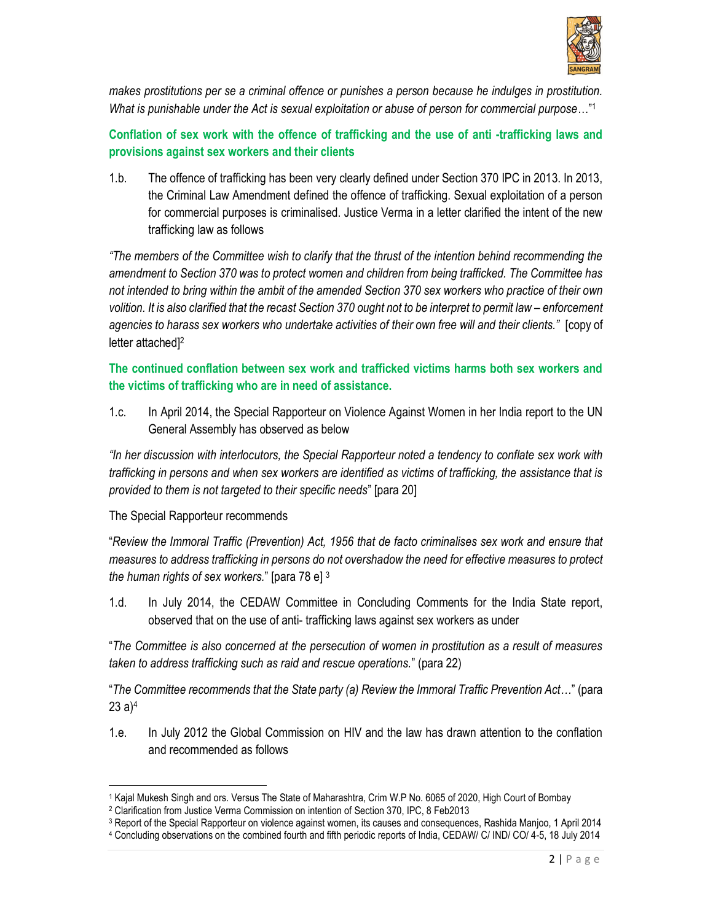

makes prostitutions per se a criminal offence or punishes a person because he indulges in prostitution. What is punishable under the Act is sexual exploitation or abuse of person for commercial purpose..."<sup>1</sup>

Conflation of sex work with the offence of trafficking and the use of anti -trafficking laws and provisions against sex workers and their clients

1.b. The offence of trafficking has been very clearly defined under Section 370 IPC in 2013. In 2013, the Criminal Law Amendment defined the offence of trafficking. Sexual exploitation of a person for commercial purposes is criminalised. Justice Verma in a letter clarified the intent of the new trafficking law as follows

"The members of the Committee wish to clarify that the thrust of the intention behind recommending the amendment to Section 370 was to protect women and children from being trafficked. The Committee has not intended to bring within the ambit of the amended Section 370 sex workers who practice of their own volition. It is also clarified that the recast Section 370 ought not to be interpret to permit law – enforcement agencies to harass sex workers who undertake activities of their own free will and their clients." [copy of letter attached<sup>[2]</sup>

The continued conflation between sex work and trafficked victims harms both sex workers and the victims of trafficking who are in need of assistance.

1.c. In April 2014, the Special Rapporteur on Violence Against Women in her India report to the UN General Assembly has observed as below

"In her discussion with interlocutors, the Special Rapporteur noted a tendency to conflate sex work with trafficking in persons and when sex workers are identified as victims of trafficking, the assistance that is provided to them is not targeted to their specific needs" [para 20]

The Special Rapporteur recommends

"Review the Immoral Traffic (Prevention) Act, 1956 that de facto criminalises sex work and ensure that measures to address trafficking in persons do not overshadow the need for effective measures to protect the human rights of sex workers." [para 78 e]  $3$ 

1.d. In July 2014, the CEDAW Committee in Concluding Comments for the India State report, observed that on the use of anti- trafficking laws against sex workers as under

"The Committee is also concerned at the persecution of women in prostitution as a result of measures taken to address trafficking such as raid and rescue operations." (para 22)

"The Committee recommends that the State party (a) Review the Immoral Traffic Prevention Act…" (para 23 a) $^4$ 

1.e. In July 2012 the Global Commission on HIV and the law has drawn attention to the conflation and recommended as follows

<sup>1</sup> Kajal Mukesh Singh and ors. Versus The State of Maharashtra, Crim W.P No. 6065 of 2020, High Court of Bombay

<sup>2</sup> Clarification from Justice Verma Commission on intention of Section 370, IPC, 8 Feb2013

<sup>&</sup>lt;sup>3</sup> Report of the Special Rapporteur on violence against women, its causes and consequences, Rashida Manjoo, 1 April 2014

<sup>4</sup> Concluding observations on the combined fourth and fifth periodic reports of India, CEDAW/ C/ IND/ CO/ 4-5, 18 July 2014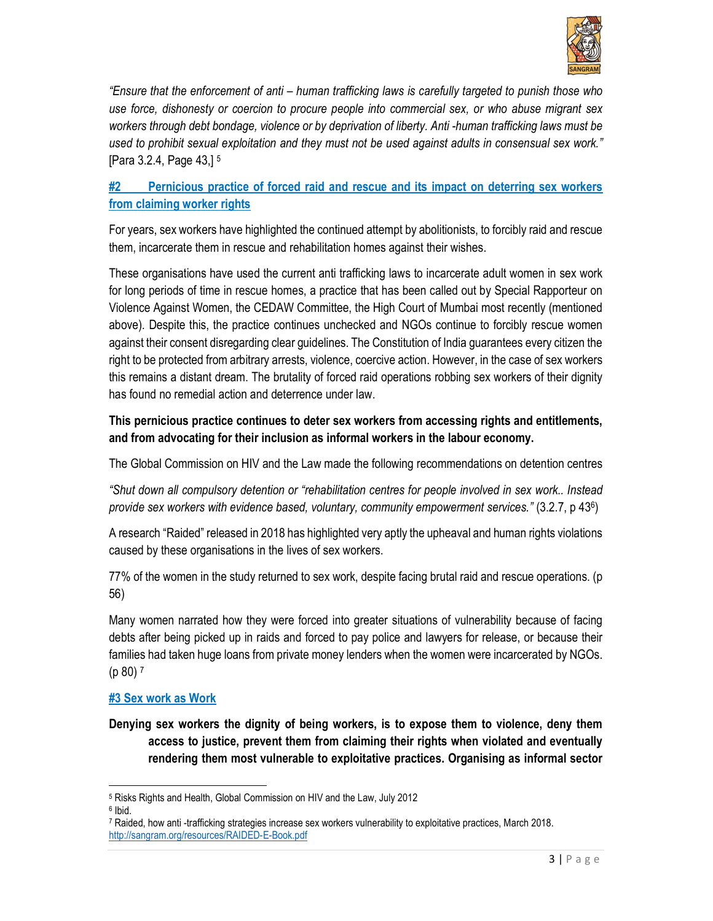

"Ensure that the enforcement of anti – human trafficking laws is carefully targeted to punish those who use force, dishonesty or coercion to procure people into commercial sex, or who abuse migrant sex workers through debt bondage, violence or by deprivation of liberty. Anti -human trafficking laws must be used to prohibit sexual exploitation and they must not be used against adults in consensual sex work." [Para 3.2.4, Page 43,] <sup>5</sup>

# #2 Pernicious practice of forced raid and rescue and its impact on deterring sex workers from claiming worker rights

For years, sex workers have highlighted the continued attempt by abolitionists, to forcibly raid and rescue them, incarcerate them in rescue and rehabilitation homes against their wishes.

These organisations have used the current anti trafficking laws to incarcerate adult women in sex work for long periods of time in rescue homes, a practice that has been called out by Special Rapporteur on Violence Against Women, the CEDAW Committee, the High Court of Mumbai most recently (mentioned above). Despite this, the practice continues unchecked and NGOs continue to forcibly rescue women against their consent disregarding clear guidelines. The Constitution of India guarantees every citizen the right to be protected from arbitrary arrests, violence, coercive action. However, in the case of sex workers this remains a distant dream. The brutality of forced raid operations robbing sex workers of their dignity has found no remedial action and deterrence under law.

## This pernicious practice continues to deter sex workers from accessing rights and entitlements, and from advocating for their inclusion as informal workers in the labour economy.

The Global Commission on HIV and the Law made the following recommendations on detention centres

"Shut down all compulsory detention or "rehabilitation centres for people involved in sex work.. Instead provide sex workers with evidence based, voluntary, community empowerment services." (3.2.7, p 436)

A research "Raided" released in 2018 has highlighted very aptly the upheaval and human rights violations caused by these organisations in the lives of sex workers.

77% of the women in the study returned to sex work, despite facing brutal raid and rescue operations. (p 56)

Many women narrated how they were forced into greater situations of vulnerability because of facing debts after being picked up in raids and forced to pay police and lawyers for release, or because their families had taken huge loans from private money lenders when the women were incarcerated by NGOs. (p 80) <sup>7</sup>

### #3 Sex work as Work

Denying sex workers the dignity of being workers, is to expose them to violence, deny them access to justice, prevent them from claiming their rights when violated and eventually rendering them most vulnerable to exploitative practices. Organising as informal sector

<sup>5</sup> Risks Rights and Health, Global Commission on HIV and the Law, July 2012

<sup>6</sup> Ibid.

<sup>7</sup> Raided, how anti -trafficking strategies increase sex workers vulnerability to exploitative practices, March 2018. http://sangram.org/resources/RAIDED-E-Book.pdf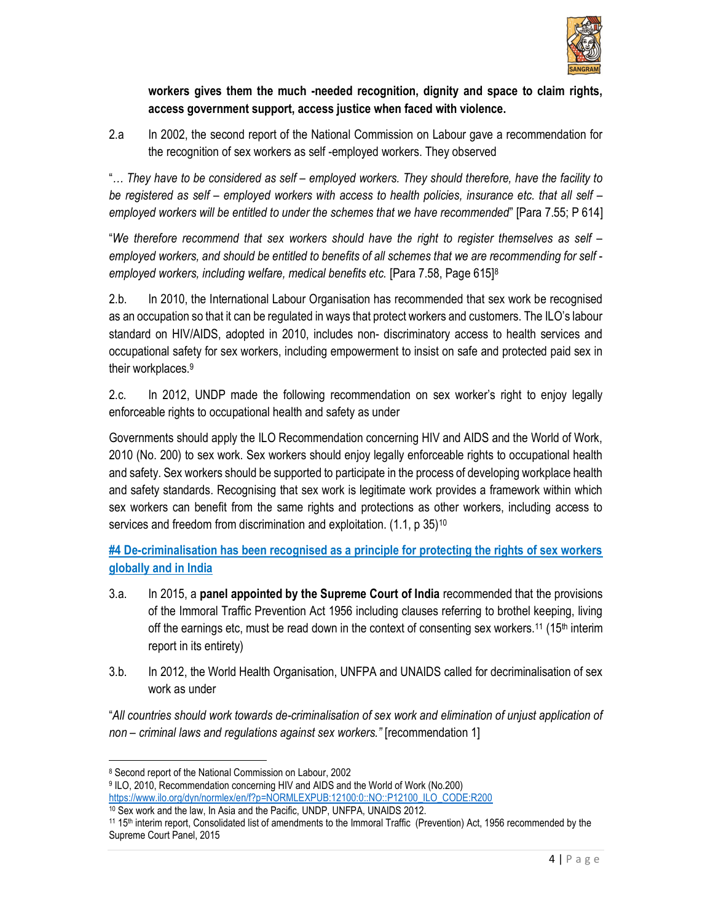

### workers gives them the much -needed recognition, dignity and space to claim rights, access government support, access justice when faced with violence.

2.a In 2002, the second report of the National Commission on Labour gave a recommendation for the recognition of sex workers as self -employed workers. They observed

"… They have to be considered as self – employed workers. They should therefore, have the facility to be registered as self – employed workers with access to health policies, insurance etc. that all self – employed workers will be entitled to under the schemes that we have recommended" [Para 7.55; P 614]

"We therefore recommend that sex workers should have the right to register themselves as self – employed workers, and should be entitled to benefits of all schemes that we are recommending for self employed workers, including welfare, medical benefits etc. [Para 7.58, Page 615]<sup>8</sup>

2.b. In 2010, the International Labour Organisation has recommended that sex work be recognised as an occupation so that it can be regulated in ways that protect workers and customers. The ILO's labour standard on HIV/AIDS, adopted in 2010, includes non- discriminatory access to health services and occupational safety for sex workers, including empowerment to insist on safe and protected paid sex in their workplaces.<sup>9</sup>

2.c. In 2012, UNDP made the following recommendation on sex worker's right to enjoy legally enforceable rights to occupational health and safety as under

Governments should apply the ILO Recommendation concerning HIV and AIDS and the World of Work, 2010 (No. 200) to sex work. Sex workers should enjoy legally enforceable rights to occupational health and safety. Sex workers should be supported to participate in the process of developing workplace health and safety standards. Recognising that sex work is legitimate work provides a framework within which sex workers can benefit from the same rights and protections as other workers, including access to services and freedom from discrimination and exploitation. (1.1, p 35)<sup>10</sup>

#4 De-criminalisation has been recognised as a principle for protecting the rights of sex workers globally and in India

- 3.a. In 2015, a panel appointed by the Supreme Court of India recommended that the provisions of the Immoral Traffic Prevention Act 1956 including clauses referring to brothel keeping, living off the earnings etc, must be read down in the context of consenting sex workers.<sup>11</sup> (15<sup>th</sup> interim report in its entirety)
- 3.b. In 2012, the World Health Organisation, UNFPA and UNAIDS called for decriminalisation of sex work as under

"All countries should work towards de-criminalisation of sex work and elimination of unjust application of non – criminal laws and regulations against sex workers." [recommendation 1]

<sup>8</sup> Second report of the National Commission on Labour, 2002

<sup>9</sup> ILO, 2010, Recommendation concerning HIV and AIDS and the World of Work (No.200) https://www.ilo.org/dyn/normlex/en/f?p=NORMLEXPUB:12100:0::NO::P12100\_ILO\_CODE:R200

<sup>10</sup> Sex work and the law, In Asia and the Pacific, UNDP, UNFPA, UNAIDS 2012.

<sup>11</sup> 15th interim report, Consolidated list of amendments to the Immoral Traffic (Prevention) Act, 1956 recommended by the Supreme Court Panel, 2015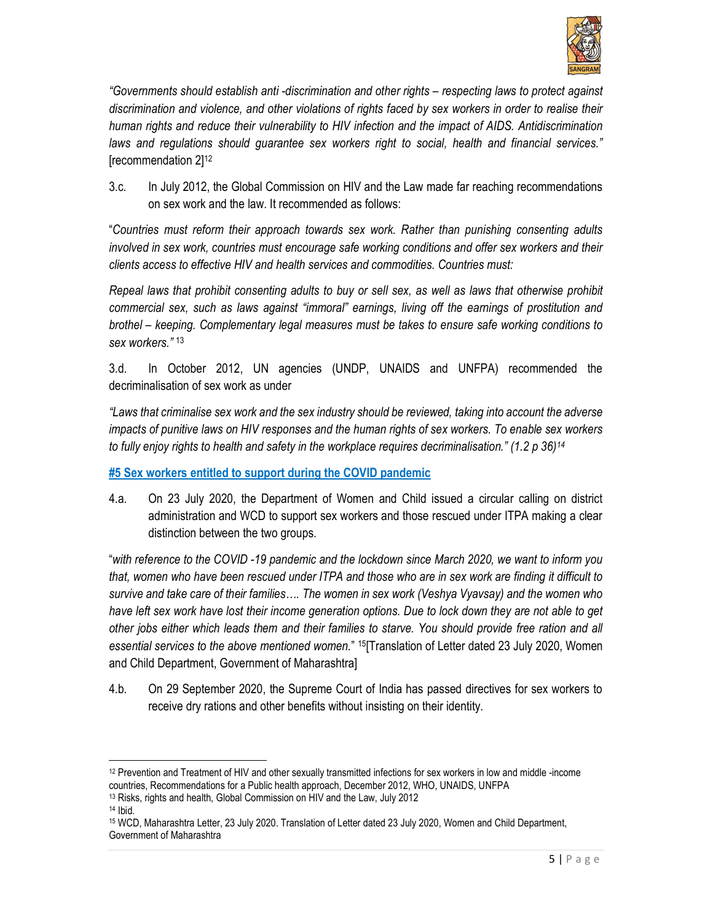

"Governments should establish anti -discrimination and other rights – respecting laws to protect against discrimination and violence, and other violations of rights faced by sex workers in order to realise their human rights and reduce their vulnerability to HIV infection and the impact of AIDS. Antidiscrimination laws and regulations should guarantee sex workers right to social, health and financial services." [recommendation 2]<sup>12</sup>

3.c. In July 2012, the Global Commission on HIV and the Law made far reaching recommendations on sex work and the law. It recommended as follows:

"Countries must reform their approach towards sex work. Rather than punishing consenting adults involved in sex work, countries must encourage safe working conditions and offer sex workers and their clients access to effective HIV and health services and commodities. Countries must:

Repeal laws that prohibit consenting adults to buy or sell sex, as well as laws that otherwise prohibit commercial sex, such as laws against "immoral" earnings, living off the earnings of prostitution and brothel – keeping. Complementary legal measures must be takes to ensure safe working conditions to sex workers." <sup>13</sup>

3.d. In October 2012, UN agencies (UNDP, UNAIDS and UNFPA) recommended the decriminalisation of sex work as under

"Laws that criminalise sex work and the sex industry should be reviewed, taking into account the adverse impacts of punitive laws on HIV responses and the human rights of sex workers. To enable sex workers to fully enjoy rights to health and safety in the workplace requires decriminalisation." (1.2 p 36)<sup>14</sup>

#5 Sex workers entitled to support during the COVID pandemic

4.a. On 23 July 2020, the Department of Women and Child issued a circular calling on district administration and WCD to support sex workers and those rescued under ITPA making a clear distinction between the two groups.

"with reference to the COVID -19 pandemic and the lockdown since March 2020, we want to inform you that, women who have been rescued under ITPA and those who are in sex work are finding it difficult to survive and take care of their families…. The women in sex work (Veshya Vyavsay) and the women who have left sex work have lost their income generation options. Due to lock down they are not able to get other jobs either which leads them and their families to starve. You should provide free ration and all essential services to the above mentioned women." <sup>15</sup>[Translation of Letter dated 23 July 2020, Women and Child Department, Government of Maharashtra]

4.b. On 29 September 2020, the Supreme Court of India has passed directives for sex workers to receive dry rations and other benefits without insisting on their identity.

<sup>12</sup> Prevention and Treatment of HIV and other sexually transmitted infections for sex workers in low and middle -income countries, Recommendations for a Public health approach, December 2012, WHO, UNAIDS, UNFPA

<sup>13</sup> Risks, rights and health, Global Commission on HIV and the Law, July 2012

<sup>14</sup> Ibid.

<sup>15</sup> WCD, Maharashtra Letter, 23 July 2020. Translation of Letter dated 23 July 2020, Women and Child Department, Government of Maharashtra